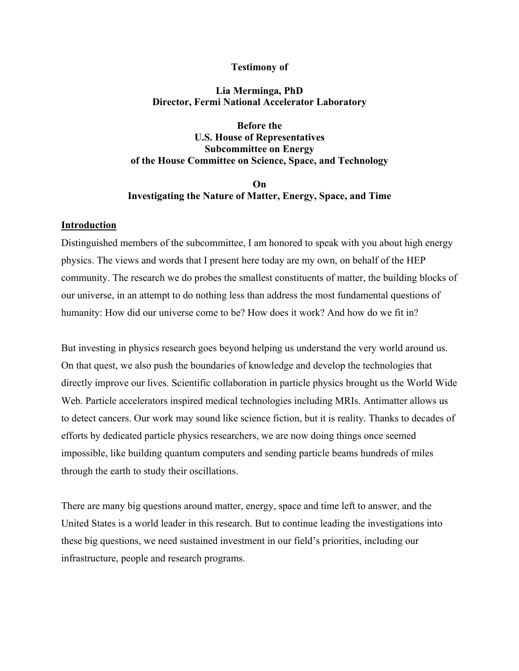# **Testimony of**

# **Lia Merminga, PhD Director, Fermi National Accelerator Laboratory**

**Before the U.S. House of Representatives Subcommittee on Energy of the House Committee on Science, Space, and Technology**

# **On Investigating the Nature of Matter, Energy, Space, and Time**

## **Introduction**

Distinguished members of the subcommittee, I am honored to speak with you about high energy physics. The views and words that I present here today are my own, on behalf of the HEP community. The research we do probes the smallest constituents of matter, the building blocks of our universe, in an attempt to do nothing less than address the most fundamental questions of humanity: How did our universe come to be? How does it work? And how do we fit in?

But investing in physics research goes beyond helping us understand the very world around us. On that quest, we also push the boundaries of knowledge and develop the technologies that directly improve our lives. Scientific collaboration in particle physics brought us the World Wide Web. Particle accelerators inspired medical technologies including MRIs. Antimatter allows us to detect cancers. Our work may sound like science fiction, but it is reality. Thanks to decades of efforts by dedicated particle physics researchers, we are now doing things once seemed impossible, like building quantum computers and sending particle beams hundreds of miles through the earth to study their oscillations.

There are many big questions around matter, energy, space and time left to answer, and the United States is a world leader in this research. But to continue leading the investigations into these big questions, we need sustained investment in our field's priorities, including our infrastructure, people and research programs.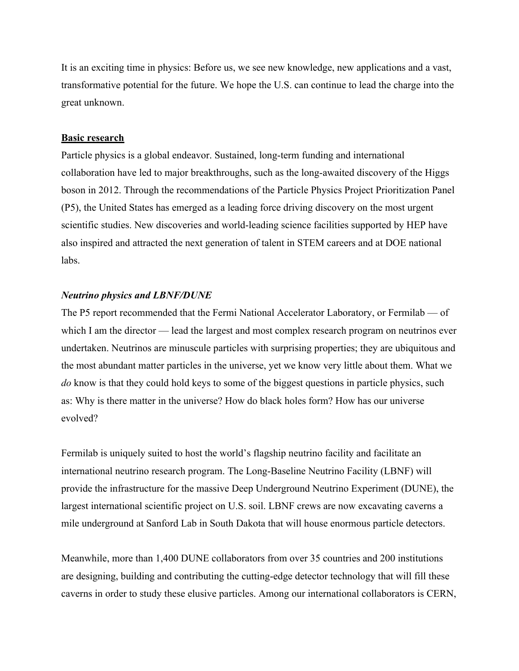It is an exciting time in physics: Before us, we see new knowledge, new applications and a vast, transformative potential for the future. We hope the U.S. can continue to lead the charge into the great unknown.

#### **Basic research**

Particle physics is a global endeavor. Sustained, long-term funding and international collaboration have led to major breakthroughs, such as the long-awaited discovery of the Higgs boson in 2012. Through the recommendations of the Particle Physics Project Prioritization Panel (P5), the United States has emerged as a leading force driving discovery on the most urgent scientific studies. New discoveries and world-leading science facilities supported by HEP have also inspired and attracted the next generation of talent in STEM careers and at DOE national labs.

#### *Neutrino physics and LBNF/DUNE*

The P5 report recommended that the Fermi National Accelerator Laboratory, or Fermilab — of which I am the director — lead the largest and most complex research program on neutrinos ever undertaken. Neutrinos are minuscule particles with surprising properties; they are ubiquitous and the most abundant matter particles in the universe, yet we know very little about them. What we *do* know is that they could hold keys to some of the biggest questions in particle physics, such as: Why is there matter in the universe? How do black holes form? How has our universe evolved?

Fermilab is uniquely suited to host the world's flagship neutrino facility and facilitate an international neutrino research program. The Long-Baseline Neutrino Facility (LBNF) will provide the infrastructure for the massive Deep Underground Neutrino Experiment (DUNE), the largest international scientific project on U.S. soil. LBNF crews are now excavating caverns a mile underground at Sanford Lab in South Dakota that will house enormous particle detectors.

Meanwhile, more than 1,400 DUNE collaborators from over 35 countries and 200 institutions are designing, building and contributing the cutting-edge detector technology that will fill these caverns in order to study these elusive particles. Among our international collaborators is CERN,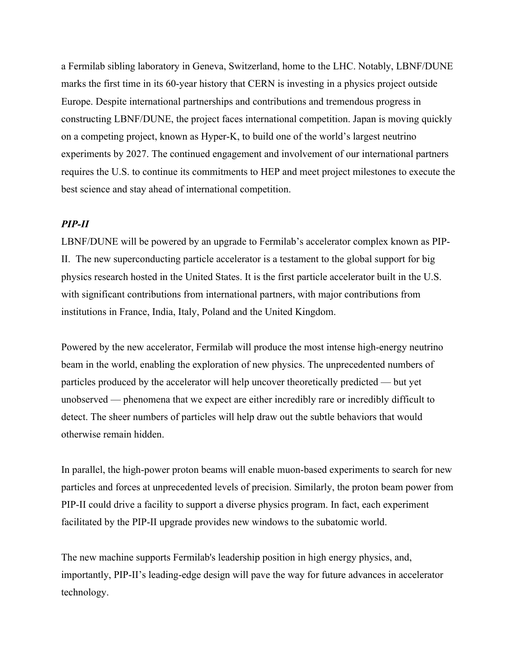a Fermilab sibling laboratory in Geneva, Switzerland, home to the LHC. Notably, LBNF/DUNE marks the first time in its 60-year history that CERN is investing in a physics project outside Europe. Despite international partnerships and contributions and tremendous progress in constructing LBNF/DUNE, the project faces international competition. Japan is moving quickly on a competing project, known as Hyper-K, to build one of the world's largest neutrino experiments by 2027. The continued engagement and involvement of our international partners requires the U.S. to continue its commitments to HEP and meet project milestones to execute the best science and stay ahead of international competition.

# *PIP-II*

LBNF/DUNE will be powered by an upgrade to Fermilab's accelerator complex known as PIP-II. The new superconducting particle accelerator is a testament to the global support for big physics research hosted in the United States. It is the first particle accelerator built in the U.S. with significant contributions from international partners, with major contributions from institutions in France, India, Italy, Poland and the United Kingdom.

Powered by the new accelerator, Fermilab will produce the most intense high-energy neutrino beam in the world, enabling the exploration of new physics. The unprecedented numbers of particles produced by the accelerator will help uncover theoretically predicted — but yet unobserved — phenomena that we expect are either incredibly rare or incredibly difficult to detect. The sheer numbers of particles will help draw out the subtle behaviors that would otherwise remain hidden.

In parallel, the high-power proton beams will enable muon-based experiments to search for new particles and forces at unprecedented levels of precision. Similarly, the proton beam power from PIP-II could drive a facility to support a diverse physics program. In fact, each experiment facilitated by the PIP-II upgrade provides new windows to the subatomic world.

The new machine supports Fermilab's leadership position in high energy physics, and, importantly, PIP-II's leading-edge design will pave the way for future advances in accelerator technology.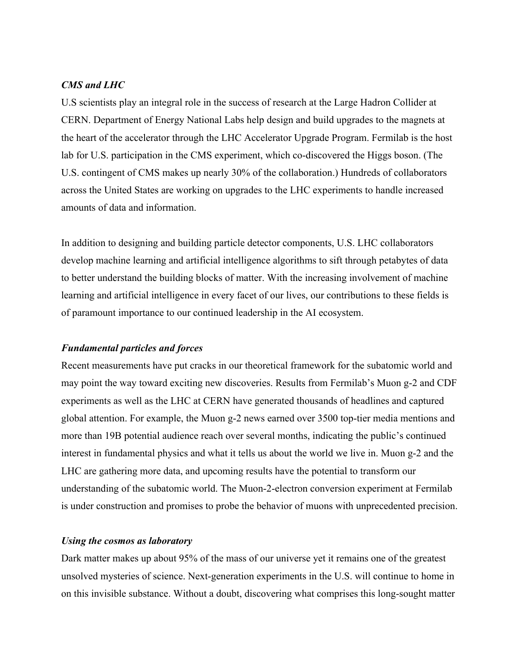#### *CMS and LHC*

U.S scientists play an integral role in the success of research at the Large Hadron Collider at CERN. Department of Energy National Labs help design and build upgrades to the magnets at the heart of the accelerator through the LHC Accelerator Upgrade Program. Fermilab is the host lab for U.S. participation in the CMS experiment, which co-discovered the Higgs boson. (The U.S. contingent of CMS makes up nearly 30% of the collaboration.) Hundreds of collaborators across the United States are working on upgrades to the LHC experiments to handle increased amounts of data and information.

In addition to designing and building particle detector components, U.S. LHC collaborators develop machine learning and artificial intelligence algorithms to sift through petabytes of data to better understand the building blocks of matter. With the increasing involvement of machine learning and artificial intelligence in every facet of our lives, our contributions to these fields is of paramount importance to our continued leadership in the AI ecosystem.

#### *Fundamental particles and forces*

Recent measurements have put cracks in our theoretical framework for the subatomic world and may point the way toward exciting new discoveries. Results from Fermilab's Muon g-2 and CDF experiments as well as the LHC at CERN have generated thousands of headlines and captured global attention. For example, the Muon g-2 news earned over 3500 top-tier media mentions and more than 19B potential audience reach over several months, indicating the public's continued interest in fundamental physics and what it tells us about the world we live in. Muon g-2 and the LHC are gathering more data, and upcoming results have the potential to transform our understanding of the subatomic world. The Muon-2-electron conversion experiment at Fermilab is under construction and promises to probe the behavior of muons with unprecedented precision.

#### *Using the cosmos as laboratory*

Dark matter makes up about 95% of the mass of our universe yet it remains one of the greatest unsolved mysteries of science. Next-generation experiments in the U.S. will continue to home in on this invisible substance. Without a doubt, discovering what comprises this long-sought matter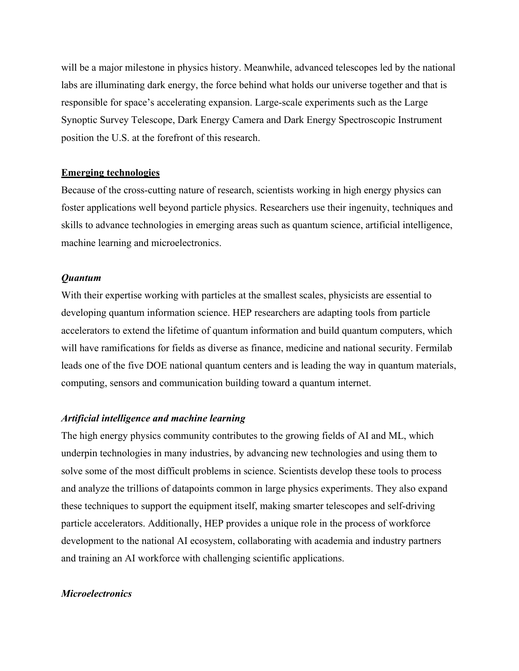will be a major milestone in physics history. Meanwhile, advanced telescopes led by the national labs are illuminating dark energy, the force behind what holds our universe together and that is responsible for space's accelerating expansion. Large-scale experiments such as the Large Synoptic Survey Telescope, Dark Energy Camera and Dark Energy Spectroscopic Instrument position the U.S. at the forefront of this research.

#### **Emerging technologies**

Because of the cross-cutting nature of research, scientists working in high energy physics can foster applications well beyond particle physics. Researchers use their ingenuity, techniques and skills to advance technologies in emerging areas such as quantum science, artificial intelligence, machine learning and microelectronics.

#### *Quantum*

With their expertise working with particles at the smallest scales, physicists are essential to developing quantum information science. HEP researchers are adapting tools from particle accelerators to extend the lifetime of quantum information and build quantum computers, which will have ramifications for fields as diverse as finance, medicine and national security. Fermilab leads one of the five DOE national quantum centers and is leading the way in quantum materials, computing, sensors and communication building toward a quantum internet.

#### *Artificial intelligence and machine learning*

The high energy physics community contributes to the growing fields of AI and ML, which underpin technologies in many industries, by advancing new technologies and using them to solve some of the most difficult problems in science. Scientists develop these tools to process and analyze the trillions of datapoints common in large physics experiments. They also expand these techniques to support the equipment itself, making smarter telescopes and self-driving particle accelerators. Additionally, HEP provides a unique role in the process of workforce development to the national AI ecosystem, collaborating with academia and industry partners and training an AI workforce with challenging scientific applications.

# *Microelectronics*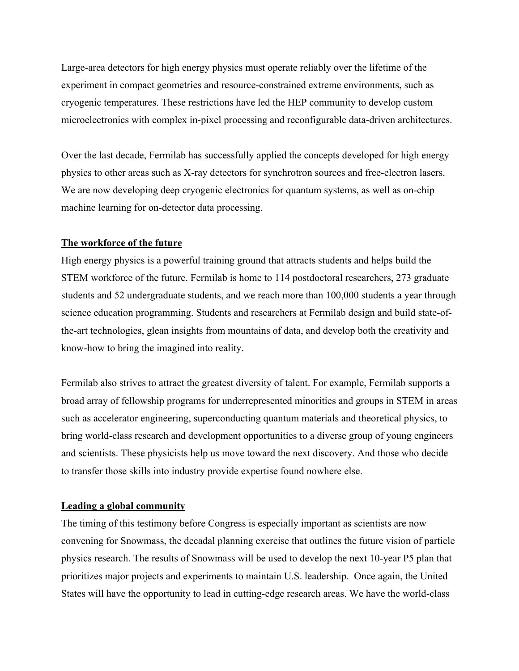Large-area detectors for high energy physics must operate reliably over the lifetime of the experiment in compact geometries and resource-constrained extreme environments, such as cryogenic temperatures. These restrictions have led the HEP community to develop custom microelectronics with complex in-pixel processing and reconfigurable data-driven architectures.

Over the last decade, Fermilab has successfully applied the concepts developed for high energy physics to other areas such as X-ray detectors for synchrotron sources and free-electron lasers. We are now developing deep cryogenic electronics for quantum systems, as well as on-chip machine learning for on-detector data processing.

# **The workforce of the future**

High energy physics is a powerful training ground that attracts students and helps build the STEM workforce of the future. Fermilab is home to 114 postdoctoral researchers, 273 graduate students and 52 undergraduate students, and we reach more than 100,000 students a year through science education programming. Students and researchers at Fermilab design and build state-ofthe-art technologies, glean insights from mountains of data, and develop both the creativity and know-how to bring the imagined into reality.

Fermilab also strives to attract the greatest diversity of talent. For example, Fermilab supports a broad array of fellowship programs for underrepresented minorities and groups in STEM in areas such as accelerator engineering, superconducting quantum materials and theoretical physics, to bring world-class research and development opportunities to a diverse group of young engineers and scientists. These physicists help us move toward the next discovery. And those who decide to transfer those skills into industry provide expertise found nowhere else.

#### **Leading a global community**

The timing of this testimony before Congress is especially important as scientists are now convening for Snowmass, the decadal planning exercise that outlines the future vision of particle physics research. The results of Snowmass will be used to develop the next 10-year P5 plan that prioritizes major projects and experiments to maintain U.S. leadership. Once again, the United States will have the opportunity to lead in cutting-edge research areas. We have the world-class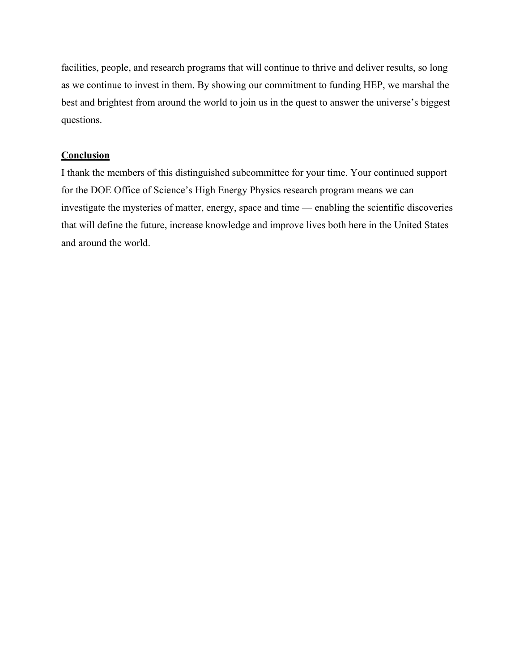facilities, people, and research programs that will continue to thrive and deliver results, so long as we continue to invest in them. By showing our commitment to funding HEP, we marshal the best and brightest from around the world to join us in the quest to answer the universe's biggest questions.

## **Conclusion**

I thank the members of this distinguished subcommittee for your time. Your continued support for the DOE Office of Science's High Energy Physics research program means we can investigate the mysteries of matter, energy, space and time — enabling the scientific discoveries that will define the future, increase knowledge and improve lives both here in the United States and around the world.